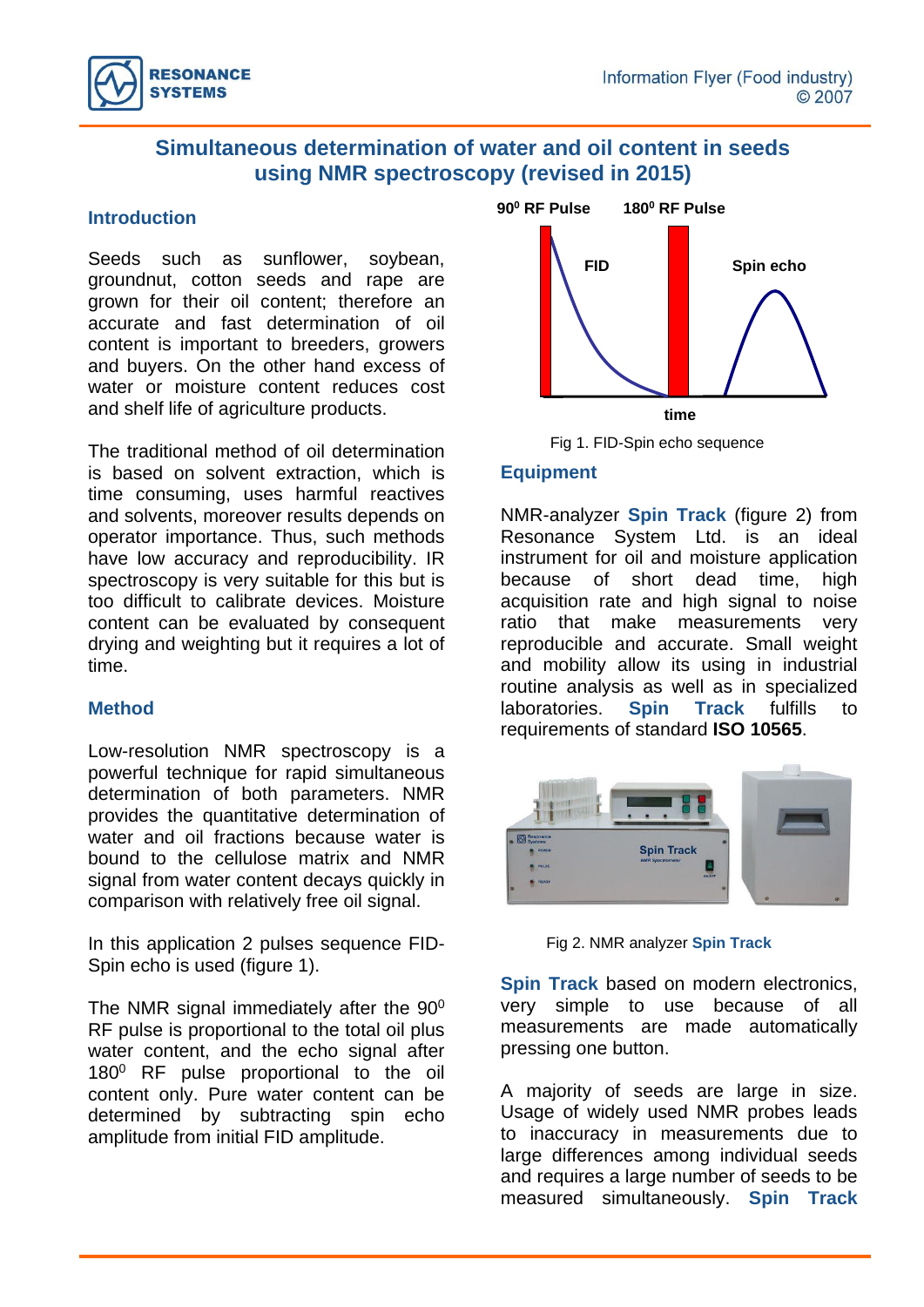

## **Simultaneous determination of water and oil content in seeds using NMR spectroscopy (revised in 2015)**

### **Introduction**

Seeds such as sunflower, soybean, groundnut, cotton seeds and rape are grown for their oil content; therefore an accurate and fast determination of oil content is important to breeders, growers and buyers. On the other hand excess of water or moisture content reduces cost and shelf life of agriculture products.

The traditional method of oil determination is based on solvent extraction, which is time consuming, uses harmful reactives and solvents, moreover results depends on operator importance. Thus, such methods have low accuracy and reproducibility. IR spectroscopy is very suitable for this but is too difficult to calibrate devices. Moisture content can be evaluated by consequent drying and weighting but it requires a lot of time.

### **Method**

Low-resolution NMR spectroscopy is a powerful technique for rapid simultaneous determination of both parameters. NMR provides the quantitative determination of water and oil fractions because water is bound to the cellulose matrix and NMR signal from water content decays quickly in comparison with relatively free oil signal.

In this application 2 pulses sequence FID-Spin echo is used (figure 1).

The NMR signal immediately after the  $90^{\circ}$ RF pulse is proportional to the total oil plus water content, and the echo signal after 180<sup>0</sup> RF pulse proportional to the oil content only. Pure water content can be determined by subtracting spin echo amplitude from initial FID amplitude.



## **Equipment**

NMR-analyzer **Spin Track** (figure 2) from Resonance System Ltd. is an ideal instrument for oil and moisture application because of short dead time, high acquisition rate and high signal to noise ratio that make measurements very reproducible and accurate. Small weight and mobility allow its using in industrial routine analysis as well as in specialized laboratories. **Spin Track** fulfills to requirements of standard **ISO 10565**.



Fig 2. NMR analyzer **Spin Track**

**Spin Track** based on modern electronics, very simple to use because of all measurements are made automatically pressing one button.

A majority of seeds are large in size. Usage of widely used NMR probes leads to inaccuracy in measurements due to large differences among individual seeds and requires a large number of seeds to be measured simultaneously. **Spin Track**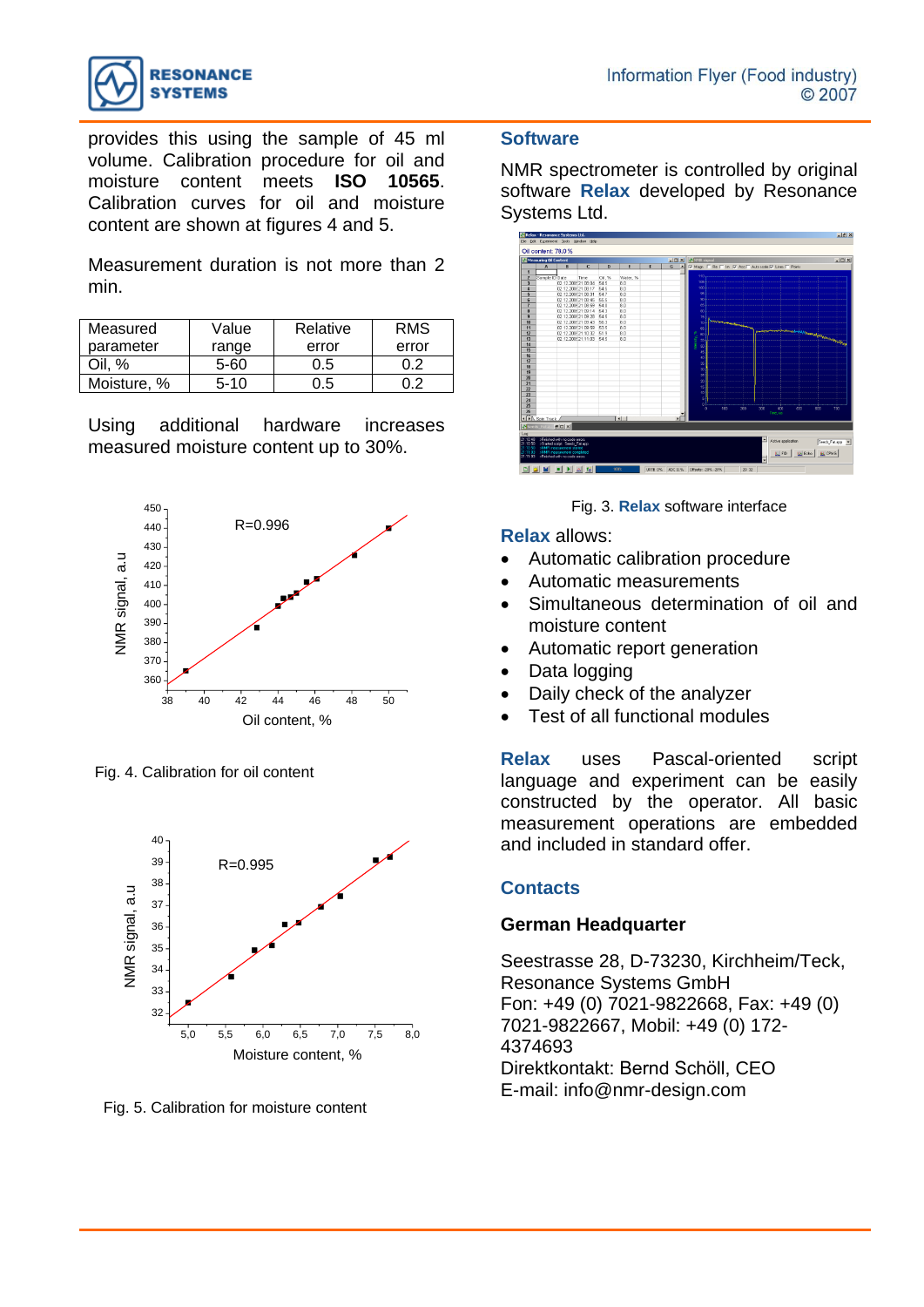

provides this using the sample of 45 ml volume. Calibration procedure for oil and moisture content meets **ISO 10565**. Calibration curves for oil and moisture content are shown at figures 4 and 5.

Measurement duration is not more than 2 min.

| Measured    | Value  | Relative | <b>RMS</b> |
|-------------|--------|----------|------------|
| parameter   | range  | error    | error      |
| Oil. %      | 5-60   | 0.5      | 0.2        |
| Moisture, % | $5-10$ | 0.5      | 0.2        |

Using additional hardware increases measured moisture content up to 30%.



Fig. 4. Calibration for oil content



Fig. 5. Calibration for moisture content

### **Software**

NMR spectrometer is controlled by original software **Relax** developed by Resonance Systems Ltd.





#### **Relax** allows:

- Automatic calibration procedure
- Automatic measurements
- Simultaneous determination of oil and moisture content
- Automatic report generation
- Data logging
- Daily check of the analyzer
- Test of all functional modules

**Relax** uses Pascal-oriented script language and experiment can be easily constructed by the operator. All basic measurement operations are embedded and included in standard offer.

### **Contacts**

### **German Headquarter**

Seestrasse 28, D-73230, Kirchheim/Teck, Resonance Systems GmbH Fon: +49 (0) 7021-9822668, Fax: +49 (0) 7021-9822667, Mobil: +49 (0) 172- 4374693 Direktkontakt: Bernd Schöll, CEO E-mail: [info@nmr-design.com](mailto:info@nmr-design.com)